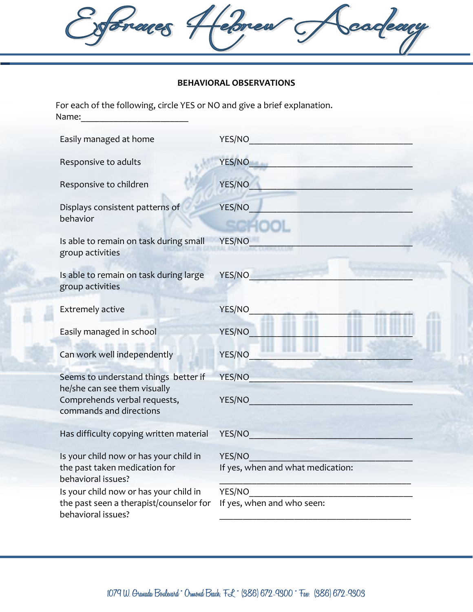forages Hedrew scadeary

## **BEHAVIORAL OBSERVATIONS**

For each of the following, circle YES or NO and give a brief explanation. Name:

| Easily managed at home                                                                        | YES/NO                                      |
|-----------------------------------------------------------------------------------------------|---------------------------------------------|
| Responsive to adults                                                                          | YES/NO                                      |
| Responsive to children                                                                        | YES/NO                                      |
| Displays consistent patterns of<br>behavior                                                   | <b>YES/NO</b>                               |
| Is able to remain on task during small<br>group activities                                    | YES/NO                                      |
| Is able to remain on task during large<br>group activities                                    | YES/NO                                      |
| <b>Extremely active</b>                                                                       | YES/NO                                      |
| Easily managed in school                                                                      | <b>YES/NO</b>                               |
| Can work well independently                                                                   | YES/NO                                      |
| Seems to understand things better if                                                          | YES/NO                                      |
| he/she can see them visually<br>Comprehends verbal requests,<br>commands and directions       | YES/NO                                      |
| Has difficulty copying written material                                                       | YES/NO                                      |
| Is your child now or has your child in<br>the past taken medication for<br>behavioral issues? | YES/NO<br>If yes, when and what medication: |
| Is your child now or has your child in                                                        | YES/NO                                      |
| the past seen a therapist/counselor for<br>behavioral issues?                                 | If yes, when and who seen:                  |